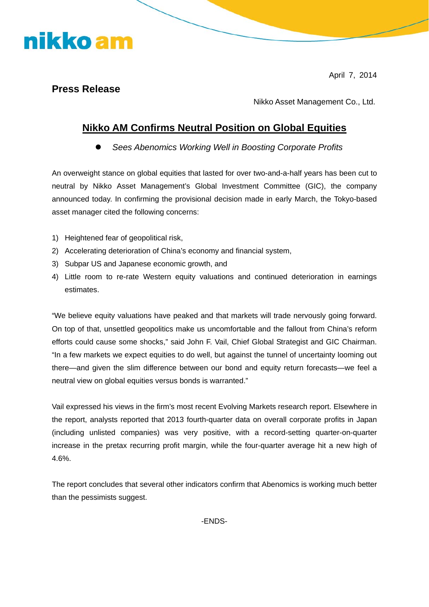April 7, 2014

## **Press Release**

nikko am

Nikko Asset Management Co., Ltd.

## **Nikko AM Confirms Neutral Position on Global Equities**

z *Sees Abenomics Working Well in Boosting Corporate Profits* 

An overweight stance on global equities that lasted for over two-and-a-half years has been cut to neutral by Nikko Asset Management's Global Investment Committee (GIC), the company announced today. In confirming the provisional decision made in early March, the Tokyo-based asset manager cited the following concerns:

- 1) Heightened fear of geopolitical risk,
- 2) Accelerating deterioration of China's economy and financial system,
- 3) Subpar US and Japanese economic growth, and
- 4) Little room to re-rate Western equity valuations and continued deterioration in earnings estimates.

"We believe equity valuations have peaked and that markets will trade nervously going forward. On top of that, unsettled geopolitics make us uncomfortable and the fallout from China's reform efforts could cause some shocks," said John F. Vail, Chief Global Strategist and GIC Chairman. "In a few markets we expect equities to do well, but against the tunnel of uncertainty looming out there—and given the slim difference between our bond and equity return forecasts—we feel a neutral view on global equities versus bonds is warranted."

Vail expressed his views in the firm's most recent Evolving Markets research report. Elsewhere in the report, analysts reported that 2013 fourth-quarter data on overall corporate profits in Japan (including unlisted companies) was very positive, with a record-setting quarter-on-quarter increase in the pretax recurring profit margin, while the four-quarter average hit a new high of 4.6%.

The report concludes that several other indicators confirm that Abenomics is working much better than the pessimists suggest.

-ENDS-